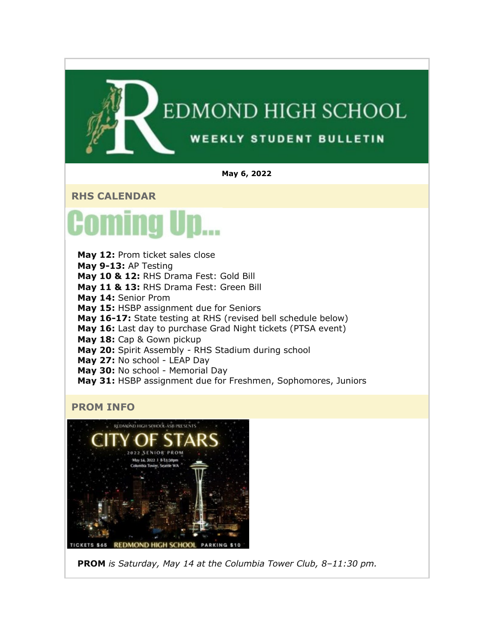## EDMOND HIGH SCHOOL **WEEKLY STUDENT BULLETIN**

#### **May 6, 2022**

**RHS CALENDAR**



**May 12:** Prom ticket sales close **May 9-13:** AP Testing **May 10 & 12:** RHS Drama Fest: Gold Bill **May 11 & 13:** RHS Drama Fest: Green Bill **May 14:** Senior Prom **May 15:** HSBP assignment due for Seniors **May 16-17:** State testing at RHS (revised bell schedule below) **May 16:** Last day to purchase Grad Night tickets (PTSA event) **May 18:** Cap & Gown pickup **May 20:** Spirit Assembly - RHS Stadium during school **May 27:** No school - LEAP Day **May 30:** No school - Memorial Day **May 31:** HSBP assignment due for Freshmen, Sophomores, Juniors

#### **PROM INFO**



**PROM** *is Saturday, May 14 at the Columbia Tower Club, 8–11:30 pm.*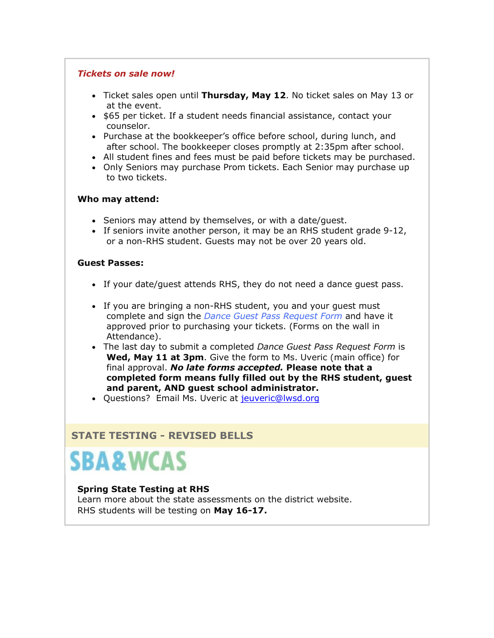#### *Tickets on sale now!*

- Ticket sales open until **Thursday, May 12**. No ticket sales on May 13 or at the event.
- \$65 per ticket. If a student needs financial assistance, contact your counselor.
- Purchase at the bookkeeper's office before school, during lunch, and after school. The bookkeeper closes promptly at 2:35pm after school.
- All student fines and fees must be paid before tickets may be purchased.
- Only Seniors may purchase Prom tickets. Each Senior may purchase up to two tickets.

#### **Who may attend:**

- Seniors may attend by themselves, or with a date/guest.
- If seniors invite another person, it may be an RHS student grade 9-12, or a non-RHS student. Guests may not be over 20 years old.

#### **Guest Passes:**

- If your date/guest attends RHS, they do not need a dance guest pass.
- If you are bringing a non-RHS student, you and your guest must complete and sign the *[Dance Guest Pass Request Form](https://nam02.safelinks.protection.outlook.com/?url=http%3A%2F%2Flink.email.dynect.net%2Flink.php%3FDynEngagement%3Dtrue%26H%3DZMyLy4zTjFxrCOdStp0zbd2NiCP4ytwFjHTp6a9KcMSf6%252Bj8iotH90psYYlxFCV3Qt07ZdL9fj7swIKxtM1LSl%252B6KcxVM8b99FpD0YWNIvyWvBJLYwkeGw%253D%253D%26G%3D0%26R%3Dhttps%253A%252F%252FSAAFGYZTANA.hatchbuck.com%252FTrackLinkClick%253FID2%253DqJb4tAbcfOoXYXa03eG1IUsF1Me4l6hNFL3_fvV32q0c0MescIW6CbMZXobyvBwA0%26I%3D20220506220113.000001970068%2540smtp-ad1-49-phx%26X%3DMHwxMjY0OTIyOjI2MDExOTMyNTM7MXwxMjY0OTIzOjIwODYwNDA5NDs%253D%26V%3D3%26S%3DVsV84FAHWhd36x9VAw9IHbFJ122EKOUfwh8vxODNjW8&data=05%7C01%7Cmwood%40lwsd.org%7C6ac4891fb15c42bc845908da2fabf0fa%7C1fd4673fdf9646218638a1d88c4c85d7%7C0%7C0%7C637874712779000668%7CUnknown%7CTWFpbGZsb3d8eyJWIjoiMC4wLjAwMDAiLCJQIjoiV2luMzIiLCJBTiI6Ik1haWwiLCJXVCI6Mn0%3D%7C3000%7C%7C%7C&sdata=a%2Bhg6kHngOh9RDk6KcQ5WDdkJISsf47zoP2SAZTKpEc%3D&reserved=0)* and have it approved prior to purchasing your tickets. (Forms on the wall in Attendance).
- The last day to submit a completed *Dance Guest Pass Request Form* is **Wed, May 11 at 3pm**. Give the form to Ms. Uveric (main office) for final approval. *No late forms accepted.* **Please note that a completed form means fully filled out by the RHS student, guest and parent, AND guest school administrator.**
- Ouestions? Email Ms. Uveric at [jeuveric@lwsd.org](mailto:jeuveric@lwsd.org)

#### **STATE TESTING - REVISED BELLS**

## **SBA&WCAS**

#### **Spring State Testing at RHS**

Learn more about the state assessments on the district website. RHS students will be testing on **May 16-17.**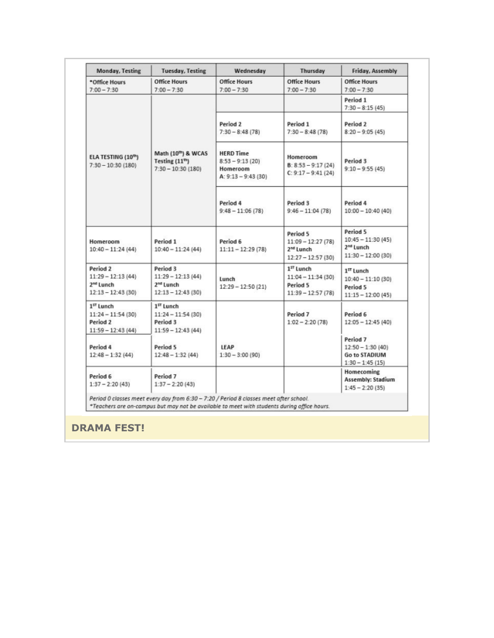|                                                                                 | <b>Tuesday, Testing</b>                                                         | Wednesday                                                                  | Thursday                                                                        | Friday, Assembly                                                                |
|---------------------------------------------------------------------------------|---------------------------------------------------------------------------------|----------------------------------------------------------------------------|---------------------------------------------------------------------------------|---------------------------------------------------------------------------------|
| *Office Hours<br>$7:00 - 7:30$                                                  | <b>Office Hours</b><br>$7:00 - 7:30$                                            | <b>Office Hours</b><br>$7:00 - 7:30$                                       | <b>Office Hours</b><br>$7:00 - 7:30$                                            | <b>Office Hours</b><br>$7:00 - 7:30$                                            |
|                                                                                 |                                                                                 |                                                                            |                                                                                 | Period 1<br>$7:30 - 8:15(45)$                                                   |
|                                                                                 |                                                                                 | Period 2<br>$7:30 - 8:48(78)$                                              | Period 1<br>$7:30 - 8:48(78)$                                                   | Period 2<br>$8:20 - 9:05(45)$                                                   |
| ELA TESTING (10th)<br>$7:30 - 10:30(180)$                                       | Math (10th) & WCAS<br>Testing $(11^{th})$<br>$7:30 - 10:30(180)$                | <b>HERD Time</b><br>$8:53 - 9:13(20)$<br>Homeroom<br>A: $9:13 - 9:43$ (30) | Homeroom<br>$B: 8:53 - 9:17(24)$<br>$C: 9:17 - 9:41(24)$                        | Period 3<br>$9:10 - 9:55(45)$                                                   |
|                                                                                 |                                                                                 | Period 4<br>$9:48 - 11:06(78)$                                             | Period 3<br>$9:46 - 11:04(78)$                                                  | Period 4<br>$10:00 - 10:40(40)$                                                 |
| Homeroom<br>$10:40 - 11:24(44)$                                                 | Period 1<br>$10:40 - 11:24(44)$                                                 | Period 6<br>$11:11 - 12:29(78)$                                            | Period 5<br>$11:09 - 12:27(78)$<br>2 <sup>nd</sup> Lunch<br>$12:27 - 12:57(30)$ | Period 5<br>$10:45 - 11:30(45)$<br>2 <sup>nd</sup> Lunch<br>$11:30 - 12:00(30)$ |
| Period 2<br>$11:29 - 12:13(44)$<br>2 <sup>nd</sup> Lunch<br>$12:13 - 12:43(30)$ | Period 3<br>$11:29 - 12:13(44)$<br>2 <sup>nd</sup> Lunch<br>$12:13 - 12:43(30)$ | Lunch<br>$12:29 - 12:50(21)$                                               | $1ST$ Lunch<br>$11:04 - 11:34(30)$<br>Period 5<br>$11:39 - 12:57(78)$           | $1ST$ Lunch<br>$10:40 - 11:10(30)$<br>Period 5<br>$11:15 - 12:00(45)$           |
| 1 <sup>57</sup> Lunch<br>$11:24 - 11:54(30)$<br>Period 2<br>$11:59 - 12:43(44)$ | 1 <sup>5T</sup> Lunch<br>$11:24 - 11:54(30)$<br>Period 3<br>$11:59 - 12:43(44)$ |                                                                            | Period 7<br>$1:02 - 2:20(78)$                                                   | Period 6<br>$12:05 - 12:45(40)$                                                 |
| Period 4<br>$12:48 - 1:32(44)$                                                  | Period 5<br>$12:48 - 1:32(44)$                                                  | LEAP<br>$1:30 - 3:00(90)$                                                  |                                                                                 | Period 7<br>$12:50 - 1:30(40)$<br>Go to STADIUM<br>$1:30 - 1:45(15)$            |
| Period 6<br>$1:37 - 2:20(43)$                                                   | Period 7<br>$1:37 - 2:20(43)$                                                   |                                                                            |                                                                                 | Homecoming<br><b>Assembly: Stadium</b><br>$1:45 - 2:20(35)$                     |

#### **DRAMA FEST!**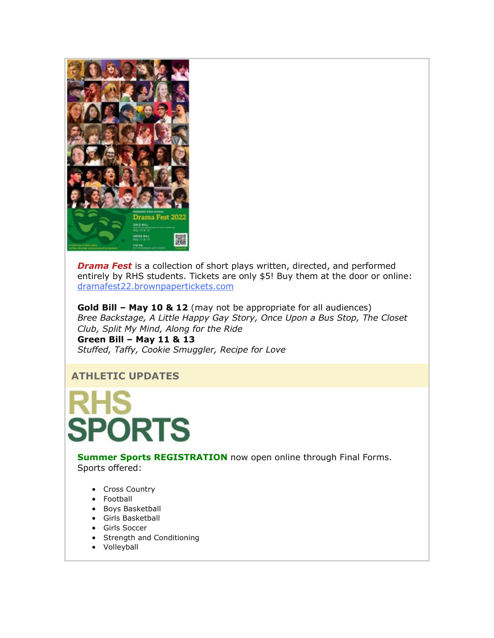

*Drama Fest* is a collection of short plays written, directed, and performed entirely by RHS students. Tickets are only \$5! Buy them at the door or online: [dramafest22.brownpapertickets.com](https://nam02.safelinks.protection.outlook.com/?url=http%3A%2F%2Flink.email.dynect.net%2Flink.php%3FDynEngagement%3Dtrue%26H%3DZMyLy4zTjFxrCOdStp0zbd2NiCP4ytwFjHTp6a9KcMSf6%252Bj8iotH90psYYlxFCV3Qt07ZdL9fj7swIKxtM1LSl%252B6KcxVM8b99FpD0YWNIvyWvBJLYwkeGw%253D%253D%26G%3D0%26R%3Dhttps%253A%252F%252FSAAFGYZTANA.hatchbuck.com%252FTrackLinkClick%253FID2%253D7Z4kGugrrRHeW_rCYSRjfXAdExV9RlsJ8epwT6TGLx595QwPsG6mgKT8iM0_jW3v0%26I%3D20220506220113.000001970068%2540smtp-ad1-49-phx%26X%3DMHwxMjY0OTIyOjI2MDExOTMyNTM7MXwxMjY0OTIzOjIwODYwNDA5NDs%253D%26V%3D3%26S%3DnIGS9B2lWzVdGdDevOQc0N64BQdHPnKEBIhIAnc_ouQ&data=05%7C01%7Cmwood%40lwsd.org%7C6ac4891fb15c42bc845908da2fabf0fa%7C1fd4673fdf9646218638a1d88c4c85d7%7C0%7C0%7C637874712779000668%7CUnknown%7CTWFpbGZsb3d8eyJWIjoiMC4wLjAwMDAiLCJQIjoiV2luMzIiLCJBTiI6Ik1haWwiLCJXVCI6Mn0%3D%7C3000%7C%7C%7C&sdata=ETxIq40yL%2Bdyn4KrucevxTHYrr8tFkILiyqUUVrhVZw%3D&reserved=0)

**Gold Bill – May 10 & 12** (may not be appropriate for all audiences) *Bree Backstage, A Little Happy Gay Story, Once Upon a Bus Stop, The Closet Club, Split My Mind, Along for the Ride*

**Green Bill – May 11 & 13** *Stuffed, Taffy, Cookie Smuggler, Recipe for Love*

#### **ATHLETIC UPDATES**

PORTS

**Summer Sports REGISTRATION** now open online through Final Forms. Sports offered:

- Cross Country
- Football
- Boys Basketball
- Girls Basketball
- Girls Soccer
- Strength and Conditioning
- Volleyball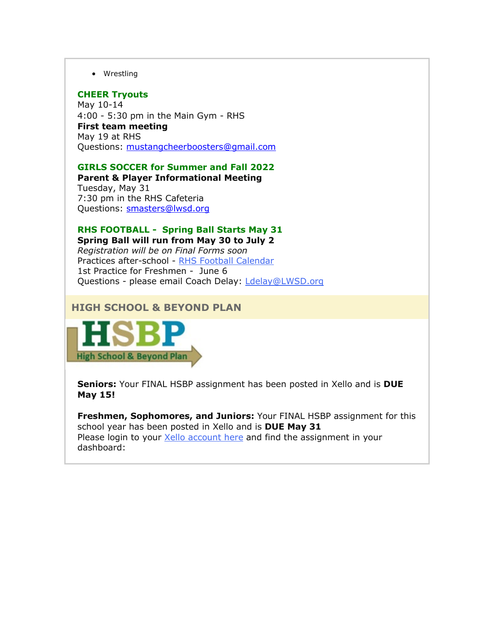• Wrestling

#### **CHEER Tryouts**

May 10-14 4:00 - 5:30 pm in the Main Gym - RHS **First team meeting** May 19 at RHS Questions: [mustangcheerboosters@gmail.com](mailto:mustangcheerboosters@gmail.com)

**GIRLS SOCCER for Summer and Fall 2022 Parent & Player Informational Meeting**

Tuesday, May 31 7:30 pm in the RHS Cafeteria Questions: [smasters@lwsd.org](mailto:smasters@lwsd.org)

#### **RHS FOOTBALL - Spring Ball Starts May 31 Spring Ball will run from May 30 to July 2**

*Registration will be on Final Forms soon* Practices after-school - [RHS Football Calendar](https://nam02.safelinks.protection.outlook.com/?url=http%3A%2F%2Flink.email.dynect.net%2Flink.php%3FDynEngagement%3Dtrue%26H%3DZMyLy4zTjFxrCOdStp0zbd2NiCP4ytwFjHTp6a9KcMSf6%252Bj8iotH90psYYlxFCV3Qt07ZdL9fj7swIKxtM1LSl%252B6KcxVM8b99FpD0YWNIvyWvBJLYwkeGw%253D%253D%26G%3D0%26R%3Dhttps%253A%252F%252FSAAFGYZTANA.hatchbuck.com%252FTrackLinkClick%253FID2%253DBvsMHNug7uQDUgBEmDrSu2EUGyBgq7Ftwq6c-n742WUJp_lILLCQPknhTgm_5qY40%26I%3D20220506220113.000001970068%2540smtp-ad1-49-phx%26X%3DMHwxMjY0OTIyOjI2MDExOTMyNTM7MXwxMjY0OTIzOjIwODYwNDA5NDs%253D%26V%3D3%26S%3DP0W31CYsXk5eS6Hb1wtrERGO9yToFDixG8vQ-E16JOk&data=05%7C01%7Cmwood%40lwsd.org%7C6ac4891fb15c42bc845908da2fabf0fa%7C1fd4673fdf9646218638a1d88c4c85d7%7C0%7C0%7C637874712779156920%7CUnknown%7CTWFpbGZsb3d8eyJWIjoiMC4wLjAwMDAiLCJQIjoiV2luMzIiLCJBTiI6Ik1haWwiLCJXVCI6Mn0%3D%7C3000%7C%7C%7C&sdata=SJao7gJpSV3Xg3zkPEgUUKvLMii3peHlHHayGnASKnY%3D&reserved=0) 1st Practice for Freshmen - June 6 Questions - please email Coach Delay: [Ldelay@LWSD.org](mailto:Ldelay@LWSD.org)

#### **HIGH SCHOOL & BEYOND PLAN**



**Seniors:** Your FINAL HSBP assignment has been posted in Xello and is **DUE May 15!**

**Freshmen, Sophomores, and Juniors:** Your FINAL HSBP assignment for this school year has been posted in Xello and is **DUE May 31** Please login to your [Xello account here](https://nam02.safelinks.protection.outlook.com/?url=http%3A%2F%2Flink.email.dynect.net%2Flink.php%3FDynEngagement%3Dtrue%26H%3DZMyLy4zTjFxrCOdStp0zbd2NiCP4ytwFjHTp6a9KcMSf6%252Bj8iotH90psYYlxFCV3Qt07ZdL9fj7swIKxtM1LSl%252B6KcxVM8b99FpD0YWNIvyWvBJLYwkeGw%253D%253D%26G%3D0%26R%3Dhttps%253A%252F%252FSAAFGYZTANA.hatchbuck.com%252FTrackLinkClick%253FID2%253Dkgb4oxuJXdxUOyz1knVf85dnpgVOffsGbDEt8ZwjeTxt3l75yOPtPlnon021DZ6t0%26I%3D20220506220113.000001970068%2540smtp-ad1-49-phx%26X%3DMHwxMjY0OTIyOjI2MDExOTMyNTM7MXwxMjY0OTIzOjIwODYwNDA5NDs%253D%26V%3D3%26S%3DfyEtUWn_0YN1f8IaDxQ4xIPD5pn5WAFmSecS4Lkzvk8&data=05%7C01%7Cmwood%40lwsd.org%7C6ac4891fb15c42bc845908da2fabf0fa%7C1fd4673fdf9646218638a1d88c4c85d7%7C0%7C0%7C637874712779156920%7CUnknown%7CTWFpbGZsb3d8eyJWIjoiMC4wLjAwMDAiLCJQIjoiV2luMzIiLCJBTiI6Ik1haWwiLCJXVCI6Mn0%3D%7C3000%7C%7C%7C&sdata=zbaYj5J%2BlGKrALy3JfYbNUbCOW1ecvWJhPzpD7MrTws%3D&reserved=0) and find the assignment in your dashboard: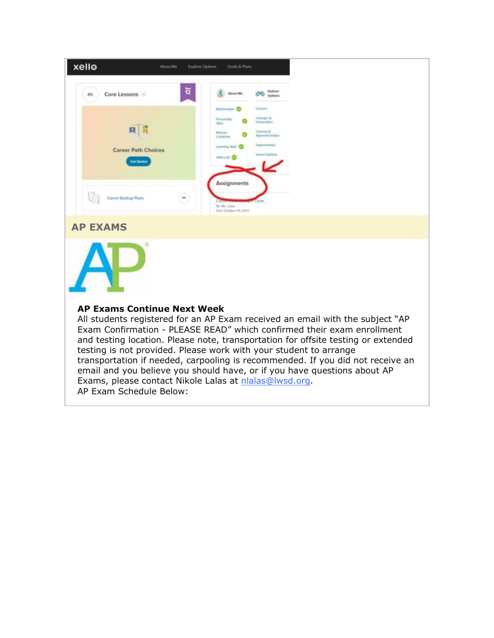| xello                                                                                                                                                                                                                                                                                                                                                                                                                                                                                                                    | About Me                                         | <b>Explore Options</b><br>Goals & Plans                                                                    |                                                                                                                    |                                                                                |
|--------------------------------------------------------------------------------------------------------------------------------------------------------------------------------------------------------------------------------------------------------------------------------------------------------------------------------------------------------------------------------------------------------------------------------------------------------------------------------------------------------------------------|--------------------------------------------------|------------------------------------------------------------------------------------------------------------|--------------------------------------------------------------------------------------------------------------------|--------------------------------------------------------------------------------|
| Core Lessons -<br>0%                                                                                                                                                                                                                                                                                                                                                                                                                                                                                                     | 12                                               | About Me                                                                                                   | Explore<br>Options                                                                                                 |                                                                                |
| 且                                                                                                                                                                                                                                                                                                                                                                                                                                                                                                                        | <b>Career Path Choices</b><br><b>Get Started</b> | Matchmaker <sub>C</sub><br>Pérsonality<br>Style<br>Mission<br>Complete<br>Learning Style &<br>Skills Lab & | Caroles.<br>Colleges &<br>Universities<br>Courses &<br>Accoramic archient<br>Opportunities<br><b>Saved Options</b> |                                                                                |
| Career Backup Plans                                                                                                                                                                                                                                                                                                                                                                                                                                                                                                      | es.                                              | <b>Assignments</b><br>By Mr. Later<br>Due: October 29, 2021                                                |                                                                                                                    |                                                                                |
| <b>AP EXAMS</b>                                                                                                                                                                                                                                                                                                                                                                                                                                                                                                          |                                                  |                                                                                                            |                                                                                                                    |                                                                                |
|                                                                                                                                                                                                                                                                                                                                                                                                                                                                                                                          |                                                  |                                                                                                            |                                                                                                                    |                                                                                |
| <b>AP Exams Continue Next Week</b><br>All students registered for an AP Exam received an email with the subject "AP<br>Exam Confirmation - PLEASE READ" which confirmed their exam enrollment<br>and testing location. Please note, transportation for offsite testing or extended<br>testing is not provided. Please work with your student to arrange<br>email and you believe you should have, or if you have questions about AP<br>Exams, please contact Nikole Lalas at nlalas@lwsd.org.<br>AP Exam Schedule Below: |                                                  |                                                                                                            |                                                                                                                    | transportation if needed, carpooling is recommended. If you did not receive an |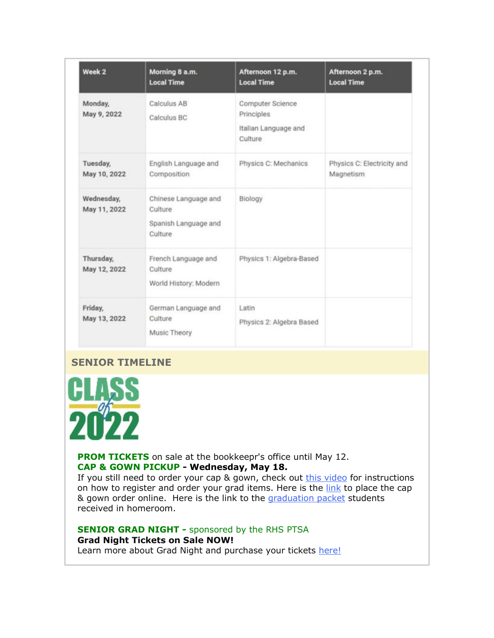| Week <sub>2</sub>          | Morning 8 a.m.<br><b>Local Time</b>                                | Afternoon 12 p.m.<br><b>Local Time</b>                            | Afternoon 2 p.m.<br><b>Local Time</b>   |
|----------------------------|--------------------------------------------------------------------|-------------------------------------------------------------------|-----------------------------------------|
| Monday,<br>May 9, 2022     | Calculus AB<br>Calculus BC                                         | Computer Science<br>Principles<br>Italian Language and<br>Culture |                                         |
| Tuesday,<br>May 10, 2022   | English Language and<br>Composition                                | Physics C: Mechanics                                              | Physics C: Electricity and<br>Magnetism |
| Wednesday,<br>May 11, 2022 | Chinese Language and<br>Culture<br>Spanish Language and<br>Culture | Biology                                                           |                                         |
| Thursday,<br>May 12, 2022  | French Language and<br>Culture<br>World History: Modern            | Physics 1: Algebra-Based                                          |                                         |
| Friday,<br>May 13, 2022    | German Language and<br>Culture<br>Music Theory                     | Latin<br>Physics 2: Algebra Based                                 |                                         |

#### **SENIOR TIMELINE**



**PROM TICKETS** on sale at the bookkeepr's office until May 12. **CAP & GOWN PICKUP - Wednesday, May 18.**

If you still need to order your cap  $\&$  gown, check out [this video](https://nam02.safelinks.protection.outlook.com/?url=http%3A%2F%2Flink.email.dynect.net%2Flink.php%3FDynEngagement%3Dtrue%26H%3DZMyLy4zTjFxrCOdStp0zbd2NiCP4ytwFjHTp6a9KcMSf6%252Bj8iotH90psYYlxFCV3Qt07ZdL9fj7swIKxtM1LSl%252B6KcxVM8b99FpD0YWNIvyWvBJLYwkeGw%253D%253D%26G%3D0%26R%3Dhttps%253A%252F%252FSAAFGYZTANA.hatchbuck.com%252FTrackLinkClick%253FID2%253DY1nhpzO-TXfgqNP4PAj7_kbQyWV0ZYDz0SN5UppVQl3jvPdbuCJvlZ64toY-CY340%26I%3D20220506220113.000001970068%2540smtp-ad1-49-phx%26X%3DMHwxMjY0OTIyOjI2MDExOTMyNTM7MXwxMjY0OTIzOjIwODYwNDA5NDs%253D%26V%3D3%26S%3DMH5zShxnIfOjbtQMh7LG04Hii7tmvEplH6IWrb99AlA&data=05%7C01%7Cmwood%40lwsd.org%7C6ac4891fb15c42bc845908da2fabf0fa%7C1fd4673fdf9646218638a1d88c4c85d7%7C0%7C0%7C637874712779156920%7CUnknown%7CTWFpbGZsb3d8eyJWIjoiMC4wLjAwMDAiLCJQIjoiV2luMzIiLCJBTiI6Ik1haWwiLCJXVCI6Mn0%3D%7C3000%7C%7C%7C&sdata=mWk0tyPa31b4oxfi7Op%2FbQ1ArdzL1liTvygTKQOblYw%3D&reserved=0) for instructions on how to register and order your grad items. Here is the [link](https://nam02.safelinks.protection.outlook.com/?url=http%3A%2F%2Flink.email.dynect.net%2Flink.php%3FDynEngagement%3Dtrue%26H%3DZMyLy4zTjFxrCOdStp0zbd2NiCP4ytwFjHTp6a9KcMSf6%252Bj8iotH90psYYlxFCV3Qt07ZdL9fj7swIKxtM1LSl%252B6KcxVM8b99FpD0YWNIvyWvBJLYwkeGw%253D%253D%26G%3D0%26R%3Dhttps%253A%252F%252FSAAFGYZTANA.hatchbuck.com%252FTrackLinkClick%253FID2%253DfX8xfJrVq3ylybnieZTZKRmrw6dfCx73USDClJtD8cIrf4Xg4VBsLoZTNNyRv4tp0%26I%3D20220506220113.000001970068%2540smtp-ad1-49-phx%26X%3DMHwxMjY0OTIyOjI2MDExOTMyNTM7MXwxMjY0OTIzOjIwODYwNDA5NDs%253D%26V%3D3%26S%3DBJKBa74aWh7_CgUL3oi4NGOafWoocwzIVePgziPtKaE&data=05%7C01%7Cmwood%40lwsd.org%7C6ac4891fb15c42bc845908da2fabf0fa%7C1fd4673fdf9646218638a1d88c4c85d7%7C0%7C0%7C637874712779156920%7CUnknown%7CTWFpbGZsb3d8eyJWIjoiMC4wLjAwMDAiLCJQIjoiV2luMzIiLCJBTiI6Ik1haWwiLCJXVCI6Mn0%3D%7C3000%7C%7C%7C&sdata=5TKJVjhpUrZlIgqezGcF%2FfPcIOU64N2j1jUu0zAMxUs%3D&reserved=0) to place the cap & gown order online. Here is the link to the [graduation packet](https://nam02.safelinks.protection.outlook.com/?url=http%3A%2F%2Flink.email.dynect.net%2Flink.php%3FDynEngagement%3Dtrue%26H%3DZMyLy4zTjFxrCOdStp0zbd2NiCP4ytwFjHTp6a9KcMSf6%252Bj8iotH90psYYlxFCV3Qt07ZdL9fj7swIKxtM1LSl%252B6KcxVM8b99FpD0YWNIvyWvBJLYwkeGw%253D%253D%26G%3D0%26R%3Dhttps%253A%252F%252FSAAFGYZTANA.hatchbuck.com%252FTrackLinkClick%253FID2%253DKvEbjIsrqWexdOMK4UHJul4HLfw9yHpK_cPIT5CCVbbSNChibUtSMCLB4TFGvWeQ0%26I%3D20220506220113.000001970068%2540smtp-ad1-49-phx%26X%3DMHwxMjY0OTIyOjI2MDExOTMyNTM7MXwxMjY0OTIzOjIwODYwNDA5NDs%253D%26V%3D3%26S%3DMSAs5B_T-z_MoCqhwEzorclvsSa5QgHsyLyypeKMJm0&data=05%7C01%7Cmwood%40lwsd.org%7C6ac4891fb15c42bc845908da2fabf0fa%7C1fd4673fdf9646218638a1d88c4c85d7%7C0%7C0%7C637874712779156920%7CUnknown%7CTWFpbGZsb3d8eyJWIjoiMC4wLjAwMDAiLCJQIjoiV2luMzIiLCJBTiI6Ik1haWwiLCJXVCI6Mn0%3D%7C3000%7C%7C%7C&sdata=qzUkwybPCOic1XptTrz8Tewmk3VXgsyl3OHW7RW20y4%3D&reserved=0) students received in homeroom.

**SENIOR GRAD NIGHT -** sponsored by the RHS PTSA **Grad Night Tickets on Sale NOW!**

Learn more about Grad Night and purchase your tickets [here!](https://nam02.safelinks.protection.outlook.com/?url=http%3A%2F%2Flink.email.dynect.net%2Flink.php%3FDynEngagement%3Dtrue%26H%3DZMyLy4zTjFxrCOdStp0zbd2NiCP4ytwFjHTp6a9KcMSf6%252Bj8iotH90psYYlxFCV3Qt07ZdL9fj7swIKxtM1LSl%252B6KcxVM8b99FpD0YWNIvyWvBJLYwkeGw%253D%253D%26G%3D0%26R%3Dhttps%253A%252F%252FSAAFGYZTANA.hatchbuck.com%252FTrackLinkClick%253FID2%253DDGmOVMODmm7CEaLVx_EYIiD4Q3RLu8YvzFSVy7288gKdPKDob8NI0ofTd0MiFtyh0%26I%3D20220506220113.000001970068%2540smtp-ad1-49-phx%26X%3DMHwxMjY0OTIyOjI2MDExOTMyNTM7MXwxMjY0OTIzOjIwODYwNDA5NDs%253D%26V%3D3%26S%3Dhr383-HEsbHOrLyBnBF_zVx7fJGpIVMlqvQHIxXP9jM&data=05%7C01%7Cmwood%40lwsd.org%7C6ac4891fb15c42bc845908da2fabf0fa%7C1fd4673fdf9646218638a1d88c4c85d7%7C0%7C0%7C637874712779156920%7CUnknown%7CTWFpbGZsb3d8eyJWIjoiMC4wLjAwMDAiLCJQIjoiV2luMzIiLCJBTiI6Ik1haWwiLCJXVCI6Mn0%3D%7C3000%7C%7C%7C&sdata=ZCLMS4nDJOfyDxAC6KvUxexQLWcdscX4ck8DP7nIsGU%3D&reserved=0)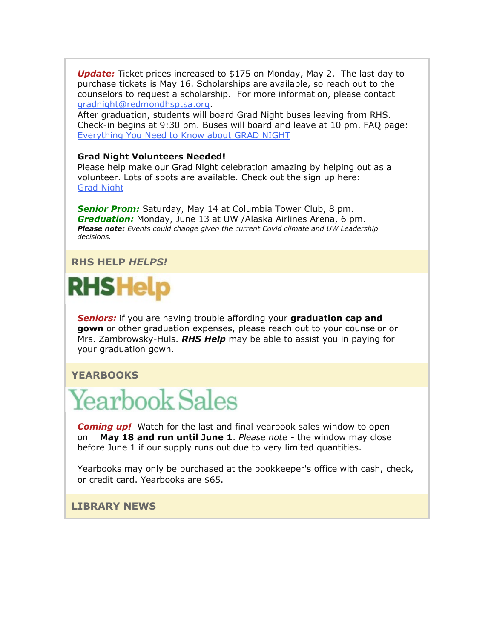*Update:* Ticket prices increased to \$175 on Monday, May 2. The last day to purchase tickets is May 16. Scholarships are available, so reach out to the counselors to request a scholarship. For more information, please contact [gradnight@redmondhsptsa.org.](mailto:gradnight@redmondhsptsa.org)

After graduation, students will board Grad Night buses leaving from RHS. Check-in begins at 9:30 pm. Buses will board and leave at 10 pm. FAQ page: [Everything You Need to Know about GRAD NIGHT](https://nam02.safelinks.protection.outlook.com/?url=http%3A%2F%2Flink.email.dynect.net%2Flink.php%3FDynEngagement%3Dtrue%26H%3DZMyLy4zTjFxrCOdStp0zbd2NiCP4ytwFjHTp6a9KcMSf6%252Bj8iotH90psYYlxFCV3Qt07ZdL9fj7swIKxtM1LSl%252B6KcxVM8b99FpD0YWNIvyWvBJLYwkeGw%253D%253D%26G%3D0%26R%3Dhttps%253A%252F%252FSAAFGYZTANA.hatchbuck.com%252FTrackLinkClick%253FID2%253DcQeDuz6ibVi2Qc-zQDEPRQcPZU4b3qJtrddsNE6t5sfmLfR8XntRKPd8Th2UZk9h0%26I%3D20220506220113.000001970068%2540smtp-ad1-49-phx%26X%3DMHwxMjY0OTIyOjI2MDExOTMyNTM7MXwxMjY0OTIzOjIwODYwNDA5NDs%253D%26V%3D3%26S%3D9m3dkP8TGiiXjOKJJAu3rP6gP52xozSuBvYe77bfef0&data=05%7C01%7Cmwood%40lwsd.org%7C6ac4891fb15c42bc845908da2fabf0fa%7C1fd4673fdf9646218638a1d88c4c85d7%7C0%7C0%7C637874712779156920%7CUnknown%7CTWFpbGZsb3d8eyJWIjoiMC4wLjAwMDAiLCJQIjoiV2luMzIiLCJBTiI6Ik1haWwiLCJXVCI6Mn0%3D%7C3000%7C%7C%7C&sdata=GnaSKrXvM4wsYXAFpndGMepo8KVn5zybJ1VU08bhrfk%3D&reserved=0)

#### **Grad Night Volunteers Needed!**

Please help make our Grad Night celebration amazing by helping out as a volunteer. Lots of spots are available. Check out the sign up here: [Grad Night](https://nam02.safelinks.protection.outlook.com/?url=http%3A%2F%2Flink.email.dynect.net%2Flink.php%3FDynEngagement%3Dtrue%26H%3DZMyLy4zTjFxrCOdStp0zbd2NiCP4ytwFjHTp6a9KcMSf6%252Bj8iotH90psYYlxFCV3Qt07ZdL9fj7swIKxtM1LSl%252B6KcxVM8b99FpD0YWNIvyWvBJLYwkeGw%253D%253D%26G%3D0%26R%3Dhttps%253A%252F%252FSAAFGYZTANA.hatchbuck.com%252FTrackLinkClick%253FID2%253DDGmOVMODmm7CEaLVx_EYIiD4Q3RLu8YvzFSVy7288gKdPKDob8NI0ofTd0MiFtyh0%26I%3D20220506220113.000001970068%2540smtp-ad1-49-phx%26X%3DMHwxMjY0OTIyOjI2MDExOTMyNTM7MXwxMjY0OTIzOjIwODYwNDA5NDs%253D%26V%3D3%26S%3Dhr383-HEsbHOrLyBnBF_zVx7fJGpIVMlqvQHIxXP9jM&data=05%7C01%7Cmwood%40lwsd.org%7C6ac4891fb15c42bc845908da2fabf0fa%7C1fd4673fdf9646218638a1d88c4c85d7%7C0%7C0%7C637874712779156920%7CUnknown%7CTWFpbGZsb3d8eyJWIjoiMC4wLjAwMDAiLCJQIjoiV2luMzIiLCJBTiI6Ik1haWwiLCJXVCI6Mn0%3D%7C3000%7C%7C%7C&sdata=ZCLMS4nDJOfyDxAC6KvUxexQLWcdscX4ck8DP7nIsGU%3D&reserved=0)

*Senior Prom:* Saturday, May 14 at Columbia Tower Club, 8 pm. *Graduation:* Monday, June 13 at UW /Alaska Airlines Arena, 6 pm. *Please note: Events could change given the current Covid climate and UW Leadership decisions.* 

#### **RHS HELP** *HELPS!*



*Seniors:* if you are having trouble affording your **graduation cap and gown** or other graduation expenses, please reach out to your counselor or Mrs. Zambrowsky-Huls. *RHS Help* may be able to assist you in paying for your graduation gown.

#### **YEARBOOKS**

## **Yearbook Sales**

*Coming up!* Watch for the last and final yearbook sales window to open on **May 18 and run until June 1**. *Please note -* the window may close before June 1 if our supply runs out due to very limited quantities.

Yearbooks may only be purchased at the bookkeeper's office with cash, check, or credit card. Yearbooks are \$65.

#### **LIBRARY NEWS**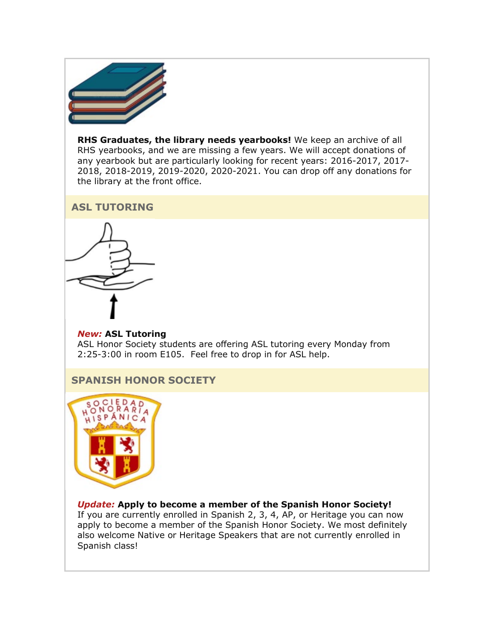

**RHS Graduates, the library needs yearbooks!** We keep an archive of all RHS yearbooks, and we are missing a few years. We will accept donations of any yearbook but are particularly looking for recent years: 2016-2017, 2017- 2018, 2018-2019, 2019-2020, 2020-2021. You can drop off any donations for the library at the front office.

#### **ASL TUTORING**



#### *New:* **ASL Tutoring** ASL Honor Society students are offering ASL tutoring every Monday from 2:25-3:00 in room E105. Feel free to drop in for ASL help.

#### **SPANISH HONOR SOCIETY**



#### *Update:* **Apply to become a member of the Spanish Honor Society!**

If you are currently enrolled in Spanish 2, 3, 4, AP, or Heritage you can now apply to become a member of the Spanish Honor Society. We most definitely also welcome Native or Heritage Speakers that are not currently enrolled in Spanish class!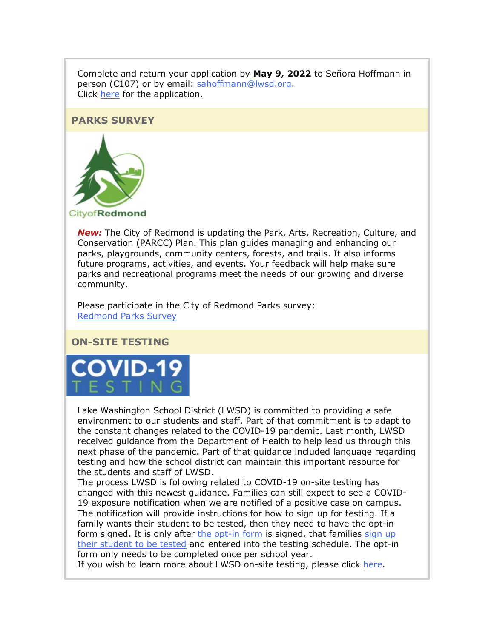Complete and return your application by **May 9, 2022** to Señora Hoffmann in person (C107) or by email: [sahoffmann@lwsd.org.](mailto:sahoffmann@lwsd.org) Click [here](https://nam02.safelinks.protection.outlook.com/?url=http%3A%2F%2Flink.email.dynect.net%2Flink.php%3FDynEngagement%3Dtrue%26H%3DZMyLy4zTjFxrCOdStp0zbd2NiCP4ytwFjHTp6a9KcMSf6%252Bj8iotH90psYYlxFCV3Qt07ZdL9fj7swIKxtM1LSl%252B6KcxVM8b99FpD0YWNIvyWvBJLYwkeGw%253D%253D%26G%3D0%26R%3Dhttps%253A%252F%252FSAAFGYZTANA.hatchbuck.com%252FTrackLinkClick%253FID2%253DQiyzxUDnAJULv0t6uFlofG38l-8v8aFZE9NBPNFDYPwDRQWFh8c292OMgkkx_haA0%26I%3D20220506220113.000001970068%2540smtp-ad1-49-phx%26X%3DMHwxMjY0OTIyOjI2MDExOTMyNTM7MXwxMjY0OTIzOjIwODYwNDA5NDs%253D%26V%3D3%26S%3DFvTs4syh1ZiJimHtNMgqKFYmLW0gSgWiATkOIHnpP50&data=05%7C01%7Cmwood%40lwsd.org%7C6ac4891fb15c42bc845908da2fabf0fa%7C1fd4673fdf9646218638a1d88c4c85d7%7C0%7C0%7C637874712779156920%7CUnknown%7CTWFpbGZsb3d8eyJWIjoiMC4wLjAwMDAiLCJQIjoiV2luMzIiLCJBTiI6Ik1haWwiLCJXVCI6Mn0%3D%7C3000%7C%7C%7C&sdata=Dx2wZjLY26Oas635Tc0vdOkmBfXDLajGYAIQ2kDtTdQ%3D&reserved=0) for the application.

#### **PARKS SURVEY**



*New:* The City of Redmond is updating the Park, Arts, Recreation, Culture, and Conservation (PARCC) Plan. This plan guides managing and enhancing our parks, playgrounds, community centers, forests, and trails. It also informs future programs, activities, and events. Your feedback will help make sure parks and recreational programs meet the needs of our growing and diverse community.

Please participate in the City of Redmond Parks survey: [Redmond Parks Survey](https://nam02.safelinks.protection.outlook.com/?url=http%3A%2F%2Flink.email.dynect.net%2Flink.php%3FDynEngagement%3Dtrue%26H%3DZMyLy4zTjFxrCOdStp0zbd2NiCP4ytwFjHTp6a9KcMSf6%252Bj8iotH90psYYlxFCV3Qt07ZdL9fj7swIKxtM1LSl%252B6KcxVM8b99FpD0YWNIvyWvBJLYwkeGw%253D%253D%26G%3D0%26R%3Dhttps%253A%252F%252FSAAFGYZTANA.hatchbuck.com%252FTrackLinkClick%253FID2%253D5pc1hcG4L38HlClSun2v8WsOsDcv1AFlvm1m3gEXsuw9V8Hn8jORFkY8hYlLgLHL0%26I%3D20220506220113.000001970068%2540smtp-ad1-49-phx%26X%3DMHwxMjY0OTIyOjI2MDExOTMyNTM7MXwxMjY0OTIzOjIwODYwNDA5NDs%253D%26V%3D3%26S%3DYK2OB-hlhLh-WLzCkDJlkql0sUKhbcmV-ABkd-Sz3gQ&data=05%7C01%7Cmwood%40lwsd.org%7C6ac4891fb15c42bc845908da2fabf0fa%7C1fd4673fdf9646218638a1d88c4c85d7%7C0%7C0%7C637874712779156920%7CUnknown%7CTWFpbGZsb3d8eyJWIjoiMC4wLjAwMDAiLCJQIjoiV2luMzIiLCJBTiI6Ik1haWwiLCJXVCI6Mn0%3D%7C3000%7C%7C%7C&sdata=7bs1t874TGe682sxNuYGHxQVFFkVa8cwgtQsWd9y3tw%3D&reserved=0)

#### **ON-SITE TESTING**



Lake Washington School District (LWSD) is committed to providing a safe environment to our students and staff. Part of that commitment is to adapt to the constant changes related to the COVID-19 pandemic. Last month, LWSD received guidance from the Department of Health to help lead us through this next phase of the pandemic. Part of that guidance included language regarding testing and how the school district can maintain this important resource for the students and staff of LWSD.

The process LWSD is following related to COVID-19 on-site testing has changed with this newest guidance. Families can still expect to see a COVID-19 exposure notification when we are notified of a positive case on campus. The notification will provide instructions for how to sign up for testing. If a family wants their student to be tested, then they need to have the opt-in form signed. It is only after [the opt-in form](https://nam02.safelinks.protection.outlook.com/?url=http%3A%2F%2Flink.email.dynect.net%2Flink.php%3FDynEngagement%3Dtrue%26H%3DZMyLy4zTjFxrCOdStp0zbd2NiCP4ytwFjHTp6a9KcMSf6%252Bj8iotH90psYYlxFCV3Qt07ZdL9fj7swIKxtM1LSl%252B6KcxVM8b99FpD0YWNIvyWvBJLYwkeGw%253D%253D%26G%3D0%26R%3Dhttps%253A%252F%252FSAAFGYZTANA.hatchbuck.com%252FTrackLinkClick%253FID2%253D5sMrPCJFeN3YoRwAA1QQHRTYIMygy4vGeSOxKTedDIxdSHwsX9oRFCe_gGtMcfhN0%26I%3D20220506220113.000001970068%2540smtp-ad1-49-phx%26X%3DMHwxMjY0OTIyOjI2MDExOTMyNTM7MXwxMjY0OTIzOjIwODYwNDA5NDs%253D%26V%3D3%26S%3Dbfg9zC9iInrnCFd9qIbFRMomaw9jH_F0XTWSqGT16Co&data=05%7C01%7Cmwood%40lwsd.org%7C6ac4891fb15c42bc845908da2fabf0fa%7C1fd4673fdf9646218638a1d88c4c85d7%7C0%7C0%7C637874712779156920%7CUnknown%7CTWFpbGZsb3d8eyJWIjoiMC4wLjAwMDAiLCJQIjoiV2luMzIiLCJBTiI6Ik1haWwiLCJXVCI6Mn0%3D%7C3000%7C%7C%7C&sdata=HApcsBiMnQSK4WY9OBtuMF1hggQDyiXeUoOuluyCssk%3D&reserved=0) is signed, that families sign up [their student to be tested](https://nam02.safelinks.protection.outlook.com/?url=http%3A%2F%2Flink.email.dynect.net%2Flink.php%3FDynEngagement%3Dtrue%26H%3DZMyLy4zTjFxrCOdStp0zbd2NiCP4ytwFjHTp6a9KcMSf6%252Bj8iotH90psYYlxFCV3Qt07ZdL9fj7swIKxtM1LSl%252B6KcxVM8b99FpD0YWNIvyWvBJLYwkeGw%253D%253D%26G%3D0%26R%3Dhttps%253A%252F%252FSAAFGYZTANA.hatchbuck.com%252FTrackLinkClick%253FID2%253D5sMrPCJFeN3YoRwAA1QQHRTYIMygy4vGeSOxKTedDIxdSHwsX9oRFCe_gGtMcfhN0%26I%3D20220506220113.000001970068%2540smtp-ad1-49-phx%26X%3DMHwxMjY0OTIyOjI2MDExOTMyNTM7MXwxMjY0OTIzOjIwODYwNDA5NDs%253D%26V%3D3%26S%3Dbfg9zC9iInrnCFd9qIbFRMomaw9jH_F0XTWSqGT16Co&data=05%7C01%7Cmwood%40lwsd.org%7C6ac4891fb15c42bc845908da2fabf0fa%7C1fd4673fdf9646218638a1d88c4c85d7%7C0%7C0%7C637874712779156920%7CUnknown%7CTWFpbGZsb3d8eyJWIjoiMC4wLjAwMDAiLCJQIjoiV2luMzIiLCJBTiI6Ik1haWwiLCJXVCI6Mn0%3D%7C3000%7C%7C%7C&sdata=HApcsBiMnQSK4WY9OBtuMF1hggQDyiXeUoOuluyCssk%3D&reserved=0) and entered into the testing schedule. The opt-in form only needs to be completed once per school year.

If you wish to learn more about LWSD on-site testing, please click [here.](https://nam02.safelinks.protection.outlook.com/?url=http%3A%2F%2Flink.email.dynect.net%2Flink.php%3FDynEngagement%3Dtrue%26H%3DZMyLy4zTjFxrCOdStp0zbd2NiCP4ytwFjHTp6a9KcMSf6%252Bj8iotH90psYYlxFCV3Qt07ZdL9fj7swIKxtM1LSl%252B6KcxVM8b99FpD0YWNIvyWvBJLYwkeGw%253D%253D%26G%3D0%26R%3Dhttps%253A%252F%252FSAAFGYZTANA.hatchbuck.com%252FTrackLinkClick%253FID2%253D5sMrPCJFeN3YoRwAA1QQHRTYIMygy4vGeSOxKTedDIxdSHwsX9oRFCe_gGtMcfhN0%26I%3D20220506220113.000001970068%2540smtp-ad1-49-phx%26X%3DMHwxMjY0OTIyOjI2MDExOTMyNTM7MXwxMjY0OTIzOjIwODYwNDA5NDs%253D%26V%3D3%26S%3Dbfg9zC9iInrnCFd9qIbFRMomaw9jH_F0XTWSqGT16Co&data=05%7C01%7Cmwood%40lwsd.org%7C6ac4891fb15c42bc845908da2fabf0fa%7C1fd4673fdf9646218638a1d88c4c85d7%7C0%7C0%7C637874712779156920%7CUnknown%7CTWFpbGZsb3d8eyJWIjoiMC4wLjAwMDAiLCJQIjoiV2luMzIiLCJBTiI6Ik1haWwiLCJXVCI6Mn0%3D%7C3000%7C%7C%7C&sdata=HApcsBiMnQSK4WY9OBtuMF1hggQDyiXeUoOuluyCssk%3D&reserved=0)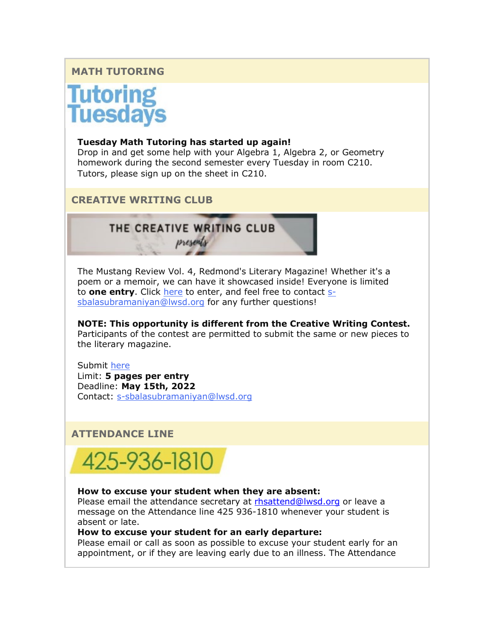#### **MATH TUTORING**

## **Tutoring<br>Tuesdays**

#### **Tuesday Math Tutoring has started up again!**

Drop in and get some help with your Algebra 1, Algebra 2, or Geometry homework during the second semester every Tuesday in room C210. Tutors, please sign up on the sheet in C210.

**CREATIVE WRITING CLUB**

#### THE CREATIVE WRITING CLUB presents

The Mustang Review Vol. 4, Redmond's Literary Magazine! Whether it's a poem or a memoir, we can have it showcased inside! Everyone is limited to **one entry**. Click [here](https://nam02.safelinks.protection.outlook.com/?url=http%3A%2F%2Flink.email.dynect.net%2Flink.php%3FDynEngagement%3Dtrue%26H%3DZMyLy4zTjFxrCOdStp0zbd2NiCP4ytwFjHTp6a9KcMSf6%252Bj8iotH90psYYlxFCV3Qt07ZdL9fj7swIKxtM1LSl%252B6KcxVM8b99FpD0YWNIvyWvBJLYwkeGw%253D%253D%26G%3D0%26R%3Dhttps%253A%252F%252FSAAFGYZTANA.hatchbuck.com%252FTrackLinkClick%253FID2%253DvZK2W2LOgeObo2xMJS6s0I2KySv45HV4AHPgCyCKn4nAqsoYfxGNmsXuRHyRGZvc0%26I%3D20220506220113.000001970068%2540smtp-ad1-49-phx%26X%3DMHwxMjY0OTIyOjI2MDExOTMyNTM7MXwxMjY0OTIzOjIwODYwNDA5NDs%253D%26V%3D3%26S%3DVZOQoSeyS-4x4ueV4yA06GNtGUwx2Mj2ONRpv7IeGT8&data=05%7C01%7Cmwood%40lwsd.org%7C6ac4891fb15c42bc845908da2fabf0fa%7C1fd4673fdf9646218638a1d88c4c85d7%7C0%7C0%7C637874712779156920%7CUnknown%7CTWFpbGZsb3d8eyJWIjoiMC4wLjAwMDAiLCJQIjoiV2luMzIiLCJBTiI6Ik1haWwiLCJXVCI6Mn0%3D%7C3000%7C%7C%7C&sdata=nYUHsBvHJKBHV8Ipga6hCW%2FdWI77EOmaWz5nfabIPCM%3D&reserved=0) to enter, and feel free to contact [s](mailto:s-sbalasubramaniyan@lwsd.org)[sbalasubramaniyan@lwsd.org](mailto:s-sbalasubramaniyan@lwsd.org) for any further questions!

**NOTE: This opportunity is different from the Creative Writing Contest.** Participants of the contest are permitted to submit the same or new pieces to the literary magazine.

Submit [here](https://nam02.safelinks.protection.outlook.com/?url=http%3A%2F%2Flink.email.dynect.net%2Flink.php%3FDynEngagement%3Dtrue%26H%3DZMyLy4zTjFxrCOdStp0zbd2NiCP4ytwFjHTp6a9KcMSf6%252Bj8iotH90psYYlxFCV3Qt07ZdL9fj7swIKxtM1LSl%252B6KcxVM8b99FpD0YWNIvyWvBJLYwkeGw%253D%253D%26G%3D0%26R%3Dhttps%253A%252F%252FSAAFGYZTANA.hatchbuck.com%252FTrackLinkClick%253FID2%253DvZK2W2LOgeObo2xMJS6s0I2KySv45HV4AHPgCyCKn4nAqsoYfxGNmsXuRHyRGZvc0%26I%3D20220506220113.000001970068%2540smtp-ad1-49-phx%26X%3DMHwxMjY0OTIyOjI2MDExOTMyNTM7MXwxMjY0OTIzOjIwODYwNDA5NDs%253D%26V%3D3%26S%3DVZOQoSeyS-4x4ueV4yA06GNtGUwx2Mj2ONRpv7IeGT8&data=05%7C01%7Cmwood%40lwsd.org%7C6ac4891fb15c42bc845908da2fabf0fa%7C1fd4673fdf9646218638a1d88c4c85d7%7C0%7C0%7C637874712779156920%7CUnknown%7CTWFpbGZsb3d8eyJWIjoiMC4wLjAwMDAiLCJQIjoiV2luMzIiLCJBTiI6Ik1haWwiLCJXVCI6Mn0%3D%7C3000%7C%7C%7C&sdata=nYUHsBvHJKBHV8Ipga6hCW%2FdWI77EOmaWz5nfabIPCM%3D&reserved=0) Limit: **5 pages per entry** Deadline: **May 15th, 2022** Contact: [s-sbalasubramaniyan@lwsd.org](mailto:s-sbalasubramaniyan@lwsd.org)

#### **ATTENDANCE LINE**



#### **How to excuse your student when they are absent:**

Please email the attendance secretary at [rhsattend@lwsd.org](mailto:rhsattend@lwsd.org) or leave a message on the Attendance line 425 936-1810 whenever your student is absent or late.

#### **How to excuse your student for an early departure:**

Please email or call as soon as possible to excuse your student early for an appointment, or if they are leaving early due to an illness. The Attendance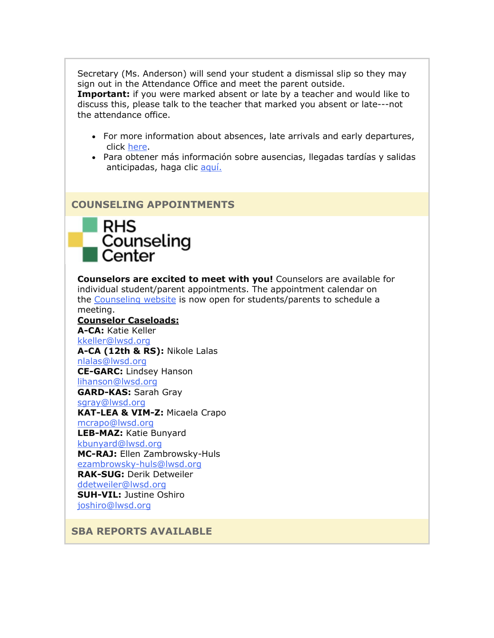Secretary (Ms. Anderson) will send your student a dismissal slip so they may sign out in the Attendance Office and meet the parent outside.

**Important:** if you were marked absent or late by a teacher and would like to discuss this, please talk to the teacher that marked you absent or late---not the attendance office.

- For more information about absences, late arrivals and early departures, click [here.](https://nam02.safelinks.protection.outlook.com/?url=http%3A%2F%2Flink.email.dynect.net%2Flink.php%3FDynEngagement%3Dtrue%26H%3DZMyLy4zTjFxrCOdStp0zbd2NiCP4ytwFjHTp6a9KcMSf6%252Bj8iotH90psYYlxFCV3Qt07ZdL9fj7swIKxtM1LSl%252B6KcxVM8b99FpD0YWNIvyWvBJLYwkeGw%253D%253D%26G%3D0%26R%3Dhttps%253A%252F%252FSAAFGYZTANA.hatchbuck.com%252FTrackLinkClick%253FID2%253DObMvxPxNSMfWNNjMcSs9ybF1l0IoNWvehL2jBkctj8lalH3PE_glKkG8nT7DHmpW0%26I%3D20220506220113.000001970068%2540smtp-ad1-49-phx%26X%3DMHwxMjY0OTIyOjI2MDExOTMyNTM7MXwxMjY0OTIzOjIwODYwNDA5NDs%253D%26V%3D3%26S%3D6GtMo-A3QWjg_PNiio-N28axJ080nNf9V46cjGPLM9w&data=05%7C01%7Cmwood%40lwsd.org%7C6ac4891fb15c42bc845908da2fabf0fa%7C1fd4673fdf9646218638a1d88c4c85d7%7C0%7C0%7C637874712779156920%7CUnknown%7CTWFpbGZsb3d8eyJWIjoiMC4wLjAwMDAiLCJQIjoiV2luMzIiLCJBTiI6Ik1haWwiLCJXVCI6Mn0%3D%7C3000%7C%7C%7C&sdata=U4tIPVpfdegmjN1s0uR6KYbD3vXVPIeDVv%2Bpjc3K8QI%3D&reserved=0)
- Para obtener más información sobre ausencias, llegadas tardías y salidas anticipadas, haga clic [aquí.](https://nam02.safelinks.protection.outlook.com/?url=http%3A%2F%2Flink.email.dynect.net%2Flink.php%3FDynEngagement%3Dtrue%26H%3DZMyLy4zTjFxrCOdStp0zbd2NiCP4ytwFjHTp6a9KcMSf6%252Bj8iotH90psYYlxFCV3Qt07ZdL9fj7swIKxtM1LSl%252B6KcxVM8b99FpD0YWNIvyWvBJLYwkeGw%253D%253D%26G%3D0%26R%3Dhttps%253A%252F%252FSAAFGYZTANA.hatchbuck.com%252FTrackLinkClick%253FID2%253DaUWi3B7gFs4APH_tA4p2qZWPtSx3dnVZI6Yu1tDwAgMj50eXD-tr1C7ZytOVfy1A0%26I%3D20220506220113.000001970068%2540smtp-ad1-49-phx%26X%3DMHwxMjY0OTIyOjI2MDExOTMyNTM7MXwxMjY0OTIzOjIwODYwNDA5NDs%253D%26V%3D3%26S%3D3LKUgyPsNoDN74J1iGe3tst3QfcZSiGsUMGyOLIEn8A&data=05%7C01%7Cmwood%40lwsd.org%7C6ac4891fb15c42bc845908da2fabf0fa%7C1fd4673fdf9646218638a1d88c4c85d7%7C0%7C0%7C637874712779313150%7CUnknown%7CTWFpbGZsb3d8eyJWIjoiMC4wLjAwMDAiLCJQIjoiV2luMzIiLCJBTiI6Ik1haWwiLCJXVCI6Mn0%3D%7C3000%7C%7C%7C&sdata=r1hA4P%2Bh3FZIWxOjdoafMHzSCtD7MUYlUz%2Bp9XC1638%3D&reserved=0)

#### **COUNSELING APPOINTMENTS**



**Counselors are excited to meet with you!** Counselors are available for individual student/parent appointments. The appointment calendar on the [Counseling website](https://nam02.safelinks.protection.outlook.com/?url=http%3A%2F%2Flink.email.dynect.net%2Flink.php%3FDynEngagement%3Dtrue%26H%3DZMyLy4zTjFxrCOdStp0zbd2NiCP4ytwFjHTp6a9KcMSf6%252Bj8iotH90psYYlxFCV3Qt07ZdL9fj7swIKxtM1LSl%252B6KcxVM8b99FpD0YWNIvyWvBJLYwkeGw%253D%253D%26G%3D0%26R%3Dhttps%253A%252F%252FSAAFGYZTANA.hatchbuck.com%252FTrackLinkClick%253FID2%253DH0f12kKMwTJZEFlbqT10rIIpweNSX3vOV0lbljfbhik656CO_oso_0yW7JkLxB_r0%26I%3D20220506220113.000001970068%2540smtp-ad1-49-phx%26X%3DMHwxMjY0OTIyOjI2MDExOTMyNTM7MXwxMjY0OTIzOjIwODYwNDA5NDs%253D%26V%3D3%26S%3D9r-CxcxPZrURoY1fyR1h57HwovT5Zg3COwuhYkMwVSI&data=05%7C01%7Cmwood%40lwsd.org%7C6ac4891fb15c42bc845908da2fabf0fa%7C1fd4673fdf9646218638a1d88c4c85d7%7C0%7C0%7C637874712779313150%7CUnknown%7CTWFpbGZsb3d8eyJWIjoiMC4wLjAwMDAiLCJQIjoiV2luMzIiLCJBTiI6Ik1haWwiLCJXVCI6Mn0%3D%7C3000%7C%7C%7C&sdata=OxwuDjs%2FubEeQnWouvN6MEnskznsXZ9cQ0hIfX7UzjQ%3D&reserved=0) is now open for students/parents to schedule a meeting. **Counselor Caseloads: A-CA:** Katie Keller [kkeller@lwsd.org](mailto:kkeller@lwsd.org) **A-CA (12th & RS):** Nikole Lalas [nlalas@lwsd.org](mailto:nlalas@lwsd.org) **CE-GARC:** Lindsey Hanson [lihanson@lwsd.org](mailto:lihanson@lwsd.org) **GARD-KAS:** Sarah Gray [sgray@lwsd.org](mailto:sgray@lwsd.org) **KAT-LEA & VIM-Z:** Micaela Crapo [mcrapo@lwsd.org](mailto:mcrapo@lwsd.org) **LEB-MAZ:** Katie Bunyard [kbunyard@lwsd.org](mailto:Kbunyard@lwsd.org) **MC-RAJ:** Ellen Zambrowsky-Huls [ezambrowsky-huls@lwsd.org](mailto:Ezambrowsky-huls@lwsd.org) **RAK-SUG:** Derik Detweiler [ddetweiler@lwsd.org](mailto:ddetweiler@lwsd.org) **SUH-VIL:** Justine Oshiro [joshiro@lwsd.org](mailto:joshiro@lwsd.org)

**SBA REPORTS AVAILABLE**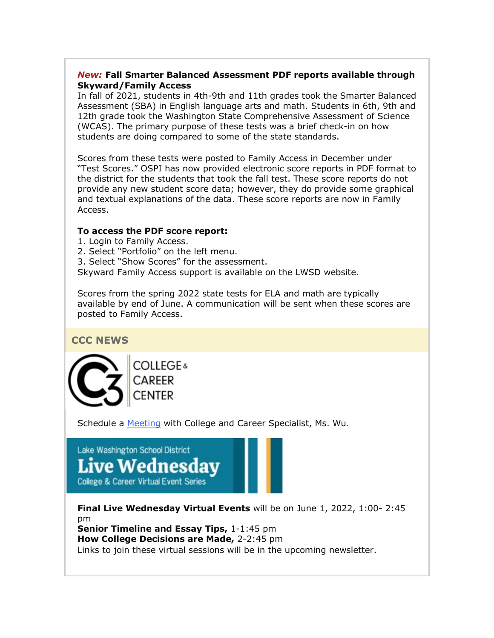#### *New:* **Fall Smarter Balanced Assessment PDF reports available through Skyward/Family Access**

In fall of 2021, students in 4th-9th and 11th grades took the Smarter Balanced Assessment (SBA) in English language arts and math. Students in 6th, 9th and 12th grade took the Washington State Comprehensive Assessment of Science (WCAS). The primary purpose of these tests was a brief check-in on how students are doing compared to some of the state standards.

Scores from these tests were posted to Family Access in December under "Test Scores." OSPI has now provided electronic score reports in PDF format to the district for the students that took the fall test. These score reports do not provide any new student score data; however, they do provide some graphical and textual explanations of the data. These score reports are now in Family Access.

#### **To access the PDF score report:**

- 1. Login to Family Access.
- 2. Select "Portfolio" on the left menu.
- 3. Select "Show Scores" for the assessment.

Skyward Family Access support is available on the LWSD website.

Scores from the spring 2022 state tests for ELA and math are typically available by end of June. A communication will be sent when these scores are posted to Family Access.

**CCC NEWS**

**COLLEGE**&

Schedule a [Meeting](https://nam02.safelinks.protection.outlook.com/?url=http%3A%2F%2Flink.email.dynect.net%2Flink.php%3FDynEngagement%3Dtrue%26H%3DZMyLy4zTjFxrCOdStp0zbd2NiCP4ytwFjHTp6a9KcMSf6%252Bj8iotH90psYYlxFCV3Qt07ZdL9fj7swIKxtM1LSl%252B6KcxVM8b99FpD0YWNIvyWvBJLYwkeGw%253D%253D%26G%3D0%26R%3Dhttps%253A%252F%252FSAAFGYZTANA.hatchbuck.com%252FTrackLinkClick%253FID2%253DiF7vkuPgK87xahaMA0HIq3pMn-M8X8knMpM41wNQMKzzGqFeMZAZhVx-ueX_R55s0%26I%3D20220506220113.000001970068%2540smtp-ad1-49-phx%26X%3DMHwxMjY0OTIyOjI2MDExOTMyNTM7MXwxMjY0OTIzOjIwODYwNDA5NDs%253D%26V%3D3%26S%3DU-oI-kqGzvHjr31lc2YRJt03VN6k7_bxfGjqm0Q8DKI&data=05%7C01%7Cmwood%40lwsd.org%7C6ac4891fb15c42bc845908da2fabf0fa%7C1fd4673fdf9646218638a1d88c4c85d7%7C0%7C0%7C637874712779313150%7CUnknown%7CTWFpbGZsb3d8eyJWIjoiMC4wLjAwMDAiLCJQIjoiV2luMzIiLCJBTiI6Ik1haWwiLCJXVCI6Mn0%3D%7C3000%7C%7C%7C&sdata=W9OdyVZzcieEkbbNeQcy%2Fzvh2ubovt3Rmp1YwnbGazk%3D&reserved=0) with College and Career Specialist, Ms. Wu.

#### Lake Washington School District **Live Wednesdav**

**College & Career Virtual Event Series** 

**Final Live Wednesday Virtual Events** will be on June 1, 2022, 1:00- 2:45 pm **Senior Timeline and Essay Tips, 1-1:45 pm** 

**How College Decisions are Made,** 2-2:45 pm

Links to join these virtual sessions will be in the upcoming newsletter.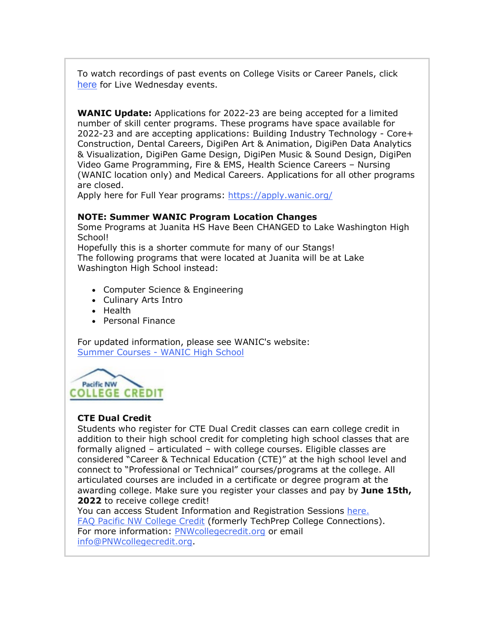To watch recordings of past events on College Visits or Career Panels, click [here](https://nam02.safelinks.protection.outlook.com/?url=http%3A%2F%2Flink.email.dynect.net%2Flink.php%3FDynEngagement%3Dtrue%26H%3DZMyLy4zTjFxrCOdStp0zbd2NiCP4ytwFjHTp6a9KcMSf6%252Bj8iotH90psYYlxFCV3Qt07ZdL9fj7swIKxtM1LSl%252B6KcxVM8b99FpD0YWNIvyWvBJLYwkeGw%253D%253D%26G%3D0%26R%3Dhttps%253A%252F%252FSAAFGYZTANA.hatchbuck.com%252FTrackLinkClick%253FID2%253D5LHp_P3tnpXfmW7LsZuKfWUoUogjF38aUW0naIxzPi3R4ipaTaeFqShqBVoqW9Og0%26I%3D20220506220113.000001970068%2540smtp-ad1-49-phx%26X%3DMHwxMjY0OTIyOjI2MDExOTMyNTM7MXwxMjY0OTIzOjIwODYwNDA5NDs%253D%26V%3D3%26S%3Db9OWJaZ_3yB8Cl-p_8VqixpdVIkGCAJ3bQxIPeMTubg&data=05%7C01%7Cmwood%40lwsd.org%7C6ac4891fb15c42bc845908da2fabf0fa%7C1fd4673fdf9646218638a1d88c4c85d7%7C0%7C0%7C637874712779313150%7CUnknown%7CTWFpbGZsb3d8eyJWIjoiMC4wLjAwMDAiLCJQIjoiV2luMzIiLCJBTiI6Ik1haWwiLCJXVCI6Mn0%3D%7C3000%7C%7C%7C&sdata=ekGhcGmaH3OfY7Q9cS45dhRcN5KfD0NDz299HNbInz4%3D&reserved=0) for Live Wednesday events.

**WANIC Update:** Applications for 2022-23 are being accepted for a limited number of skill center programs. These programs have space available for 2022-23 and are accepting applications: Building Industry Technology - Core+ Construction, Dental Careers, DigiPen Art & Animation, DigiPen Data Analytics & Visualization, DigiPen Game Design, DigiPen Music & Sound Design, DigiPen Video Game Programming, Fire & EMS, Health Science Careers – Nursing (WANIC location only) and Medical Careers. Applications for all other programs are closed.

Apply here for Full Year programs: [https://apply.wanic.org/](https://nam02.safelinks.protection.outlook.com/?url=http%3A%2F%2Flink.email.dynect.net%2Flink.php%3FDynEngagement%3Dtrue%26H%3DZMyLy4zTjFxrCOdStp0zbd2NiCP4ytwFjHTp6a9KcMSf6%252Bj8iotH90psYYlxFCV3Qt07ZdL9fj7swIKxtM1LSl%252B6KcxVM8b99FpD0YWNIvyWvBJLYwkeGw%253D%253D%26G%3D0%26R%3Dhttps%253A%252F%252FSAAFGYZTANA.hatchbuck.com%252FTrackLinkClick%253FID2%253DVnkRTLNIhaOKJmbolPHSwBOpUYjkV4OpW8eBzriO2yx-0wkIRbxjyqlqs2WaTAM30%26I%3D20220506220113.000001970068%2540smtp-ad1-49-phx%26X%3DMHwxMjY0OTIyOjI2MDExOTMyNTM7MXwxMjY0OTIzOjIwODYwNDA5NDs%253D%26V%3D3%26S%3D84FpYvQa7UOke6yYLrNgNpnLnruJJHXoOm3SheMvBfg&data=05%7C01%7Cmwood%40lwsd.org%7C6ac4891fb15c42bc845908da2fabf0fa%7C1fd4673fdf9646218638a1d88c4c85d7%7C0%7C0%7C637874712779313150%7CUnknown%7CTWFpbGZsb3d8eyJWIjoiMC4wLjAwMDAiLCJQIjoiV2luMzIiLCJBTiI6Ik1haWwiLCJXVCI6Mn0%3D%7C3000%7C%7C%7C&sdata=mN0%2FQ26ryFlgRri0ic7jASDgSWXSKNjaV5tI2udcZ7k%3D&reserved=0)

#### **NOTE: Summer WANIC Program Location Changes**

Some Programs at Juanita HS Have Been CHANGED to Lake Washington High School!

Hopefully this is a shorter commute for many of our Stangs! The following programs that were located at Juanita will be at Lake Washington High School instead:

- Computer Science & Engineering
- Culinary Arts Intro
- Health
- Personal Finance

For updated information, please see WANIC's website: Summer Courses - [WANIC High School](https://nam02.safelinks.protection.outlook.com/?url=http%3A%2F%2Flink.email.dynect.net%2Flink.php%3FDynEngagement%3Dtrue%26H%3DZMyLy4zTjFxrCOdStp0zbd2NiCP4ytwFjHTp6a9KcMSf6%252Bj8iotH90psYYlxFCV3Qt07ZdL9fj7swIKxtM1LSl%252B6KcxVM8b99FpD0YWNIvyWvBJLYwkeGw%253D%253D%26G%3D0%26R%3Dhttps%253A%252F%252FSAAFGYZTANA.hatchbuck.com%252FTrackLinkClick%253FID2%253DypJoucFvOw7aZFTXsagh4EOvVw7nFMUc0teyfur6ltTAde1-t7VRw78lMYMI_LwN0%26I%3D20220506220113.000001970068%2540smtp-ad1-49-phx%26X%3DMHwxMjY0OTIyOjI2MDExOTMyNTM7MXwxMjY0OTIzOjIwODYwNDA5NDs%253D%26V%3D3%26S%3D7loYMMORmE5GSzqEG9tGKnt00AUcefnLIkB80Pq4q6k&data=05%7C01%7Cmwood%40lwsd.org%7C6ac4891fb15c42bc845908da2fabf0fa%7C1fd4673fdf9646218638a1d88c4c85d7%7C0%7C0%7C637874712779313150%7CUnknown%7CTWFpbGZsb3d8eyJWIjoiMC4wLjAwMDAiLCJQIjoiV2luMzIiLCJBTiI6Ik1haWwiLCJXVCI6Mn0%3D%7C3000%7C%7C%7C&sdata=LqO7Y8Fv0OehD0Y8Rv4ylhSTmFUig7w2J3rVhZL7z7Y%3D&reserved=0)



#### **CTE Dual Credit**

Students who register for CTE Dual Credit classes can earn college credit in addition to their high school credit for completing high school classes that are formally aligned – articulated – with college courses. Eligible classes are considered "Career & Technical Education (CTE)" at the high school level and connect to "Professional or Technical" courses/programs at the college. All articulated courses are included in a certificate or degree program at the awarding college. Make sure you register your classes and pay by **June 15th,**  2022 to receive college credit!

You can access Student Information and Registration Sessions [here.](https://nam02.safelinks.protection.outlook.com/?url=http%3A%2F%2Flink.email.dynect.net%2Flink.php%3FDynEngagement%3Dtrue%26H%3DZMyLy4zTjFxrCOdStp0zbd2NiCP4ytwFjHTp6a9KcMSf6%252Bj8iotH90psYYlxFCV3Qt07ZdL9fj7swIKxtM1LSl%252B6KcxVM8b99FpD0YWNIvyWvBJLYwkeGw%253D%253D%26G%3D0%26R%3Dhttps%253A%252F%252FSAAFGYZTANA.hatchbuck.com%252FTrackLinkClick%253FID2%253DReUc5gcL6isBra_WOa7bceGI_wTYbtTUy_4NwkABHZ82jCtQQt80W9WOmQeLnGrT0%26I%3D20220506220113.000001970068%2540smtp-ad1-49-phx%26X%3DMHwxMjY0OTIyOjI2MDExOTMyNTM7MXwxMjY0OTIzOjIwODYwNDA5NDs%253D%26V%3D3%26S%3DN3TVBbAGSpoyAWOX7eMIqn0uUEKkvjQoSosbvSjiABQ&data=05%7C01%7Cmwood%40lwsd.org%7C6ac4891fb15c42bc845908da2fabf0fa%7C1fd4673fdf9646218638a1d88c4c85d7%7C0%7C0%7C637874712779313150%7CUnknown%7CTWFpbGZsb3d8eyJWIjoiMC4wLjAwMDAiLCJQIjoiV2luMzIiLCJBTiI6Ik1haWwiLCJXVCI6Mn0%3D%7C3000%7C%7C%7C&sdata=IdZiC7q4avGZoyOwwgU6rB5%2FIaU0LS4qr7WOVQjuJ%2FQ%3D&reserved=0) [FAQ Pacific NW College Credit](https://nam02.safelinks.protection.outlook.com/?url=http%3A%2F%2Flink.email.dynect.net%2Flink.php%3FDynEngagement%3Dtrue%26H%3DZMyLy4zTjFxrCOdStp0zbd2NiCP4ytwFjHTp6a9KcMSf6%252Bj8iotH90psYYlxFCV3Qt07ZdL9fj7swIKxtM1LSl%252B6KcxVM8b99FpD0YWNIvyWvBJLYwkeGw%253D%253D%26G%3D0%26R%3Dhttps%253A%252F%252FSAAFGYZTANA.hatchbuck.com%252FTrackLinkClick%253FID2%253D_m_dHXyV4450twsd1pRbtju805X00uCfFfNABIhnvMMMD9IsRqumznx2B1E43p5F0%26I%3D20220506220113.000001970068%2540smtp-ad1-49-phx%26X%3DMHwxMjY0OTIyOjI2MDExOTMyNTM7MXwxMjY0OTIzOjIwODYwNDA5NDs%253D%26V%3D3%26S%3DwTcFs4AxgVWe5aBMKWDuxAN908q1S2724nauq7pA0ss&data=05%7C01%7Cmwood%40lwsd.org%7C6ac4891fb15c42bc845908da2fabf0fa%7C1fd4673fdf9646218638a1d88c4c85d7%7C0%7C0%7C637874712779313150%7CUnknown%7CTWFpbGZsb3d8eyJWIjoiMC4wLjAwMDAiLCJQIjoiV2luMzIiLCJBTiI6Ik1haWwiLCJXVCI6Mn0%3D%7C3000%7C%7C%7C&sdata=oupHSkTAo5wT7QkXvHIZ1rTCFA%2FdRbZP87hN5a1ip4o%3D&reserved=0) (formerly TechPrep College Connections). For more information: [PNWcollegecredit.org](https://nam02.safelinks.protection.outlook.com/?url=http%3A%2F%2Flink.email.dynect.net%2Flink.php%3FDynEngagement%3Dtrue%26H%3DZMyLy4zTjFxrCOdStp0zbd2NiCP4ytwFjHTp6a9KcMSf6%252Bj8iotH90psYYlxFCV3Qt07ZdL9fj7swIKxtM1LSl%252B6KcxVM8b99FpD0YWNIvyWvBJLYwkeGw%253D%253D%26G%3D0%26R%3Dhttps%253A%252F%252FSAAFGYZTANA.hatchbuck.com%252FTrackLinkClick%253FID2%253DDRu3Wgj0ox0PM_9gKb3jXoMV8AhSHrQ-Lwx_8nGUl7rp3XEhCak7-CG8H3Y3lIz30%26I%3D20220506220113.000001970068%2540smtp-ad1-49-phx%26X%3DMHwxMjY0OTIyOjI2MDExOTMyNTM7MXwxMjY0OTIzOjIwODYwNDA5NDs%253D%26V%3D3%26S%3DJaDlW_S1Kkq2Lr_FTamC6-s9AugJ7-qusqK2EhRdfQ4&data=05%7C01%7Cmwood%40lwsd.org%7C6ac4891fb15c42bc845908da2fabf0fa%7C1fd4673fdf9646218638a1d88c4c85d7%7C0%7C0%7C637874712779313150%7CUnknown%7CTWFpbGZsb3d8eyJWIjoiMC4wLjAwMDAiLCJQIjoiV2luMzIiLCJBTiI6Ik1haWwiLCJXVCI6Mn0%3D%7C3000%7C%7C%7C&sdata=ehV%2F6WHMxVqHEYgd5Gx78stV74OmfeoQMrZM21PAn8Y%3D&reserved=0) or email [info@PNWcollegecredit.org.](mailto:info@PNWcollegecredit.org)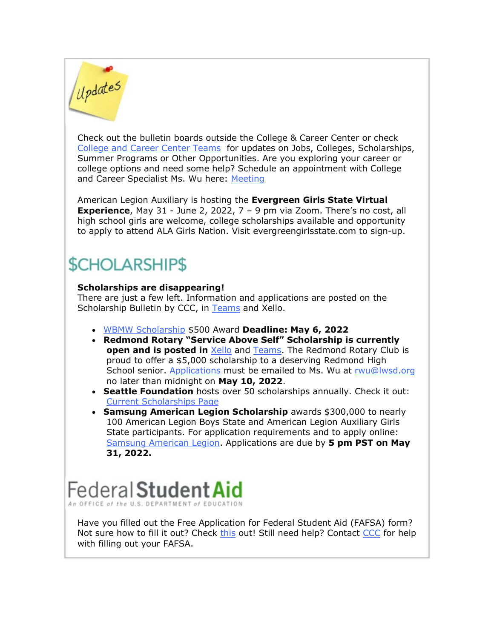# Updates

Check out the bulletin boards outside the College & Career Center or check [College and Career Center Teams](https://nam02.safelinks.protection.outlook.com/?url=http%3A%2F%2Flink.email.dynect.net%2Flink.php%3FDynEngagement%3Dtrue%26H%3DZMyLy4zTjFxrCOdStp0zbd2NiCP4ytwFjHTp6a9KcMSf6%252Bj8iotH90psYYlxFCV3Qt07ZdL9fj7swIKxtM1LSl%252B6KcxVM8b99FpD0YWNIvyWvBJLYwkeGw%253D%253D%26G%3D0%26R%3Dhttps%253A%252F%252FSAAFGYZTANA.hatchbuck.com%252FTrackLinkClick%253FID2%253DlACDXBgp6YNbHraZBmkVQixsNizWmsWMWK2-IPy8LhfIroe6Y8Cig9oUgIvV6J1U0%26I%3D20220506220113.000001970068%2540smtp-ad1-49-phx%26X%3DMHwxMjY0OTIyOjI2MDExOTMyNTM7MXwxMjY0OTIzOjIwODYwNDA5NDs%253D%26V%3D3%26S%3D_9P2X6OJx1JopiJvWBEQ_Kqua7M4nIO_2Dml1e9Qfi4&data=05%7C01%7Cmwood%40lwsd.org%7C6ac4891fb15c42bc845908da2fabf0fa%7C1fd4673fdf9646218638a1d88c4c85d7%7C0%7C0%7C637874712779313150%7CUnknown%7CTWFpbGZsb3d8eyJWIjoiMC4wLjAwMDAiLCJQIjoiV2luMzIiLCJBTiI6Ik1haWwiLCJXVCI6Mn0%3D%7C3000%7C%7C%7C&sdata=4YWJf4jTMZuTQ2Zu3fcHvl5%2FfkJU5ToLWTrNevZrX0g%3D&reserved=0) for updates on Jobs, Colleges, Scholarships, Summer Programs or Other Opportunities. Are you exploring your career or college options and need some help? Schedule an appointment with College and Career Specialist Ms. Wu here: [Meeting](https://nam02.safelinks.protection.outlook.com/?url=http%3A%2F%2Flink.email.dynect.net%2Flink.php%3FDynEngagement%3Dtrue%26H%3DZMyLy4zTjFxrCOdStp0zbd2NiCP4ytwFjHTp6a9KcMSf6%252Bj8iotH90psYYlxFCV3Qt07ZdL9fj7swIKxtM1LSl%252B6KcxVM8b99FpD0YWNIvyWvBJLYwkeGw%253D%253D%26G%3D0%26R%3Dhttps%253A%252F%252FSAAFGYZTANA.hatchbuck.com%252FTrackLinkClick%253FID2%253DiF7vkuPgK87xahaMA0HIq3pMn-M8X8knMpM41wNQMKzzGqFeMZAZhVx-ueX_R55s0%26I%3D20220506220113.000001970068%2540smtp-ad1-49-phx%26X%3DMHwxMjY0OTIyOjI2MDExOTMyNTM7MXwxMjY0OTIzOjIwODYwNDA5NDs%253D%26V%3D3%26S%3DU-oI-kqGzvHjr31lc2YRJt03VN6k7_bxfGjqm0Q8DKI&data=05%7C01%7Cmwood%40lwsd.org%7C6ac4891fb15c42bc845908da2fabf0fa%7C1fd4673fdf9646218638a1d88c4c85d7%7C0%7C0%7C637874712779313150%7CUnknown%7CTWFpbGZsb3d8eyJWIjoiMC4wLjAwMDAiLCJQIjoiV2luMzIiLCJBTiI6Ik1haWwiLCJXVCI6Mn0%3D%7C3000%7C%7C%7C&sdata=W9OdyVZzcieEkbbNeQcy%2Fzvh2ubovt3Rmp1YwnbGazk%3D&reserved=0)

American Legion Auxiliary is hosting the **Evergreen Girls State Virtual Experience**, May 31 - June 2, 2022, 7 – 9 pm via Zoom. There's no cost, all high school girls are welcome, college scholarships available and opportunity to apply to attend ALA Girls Nation. Visit evergreengirlsstate.com to sign-up.

### **\$CHOLARSHIP\$**

#### **Scholarships are disappearing!**

There are just a few left. Information and applications are posted on the Scholarship Bulletin by CCC, in [Teams](https://nam02.safelinks.protection.outlook.com/?url=http%3A%2F%2Flink.email.dynect.net%2Flink.php%3FDynEngagement%3Dtrue%26H%3DZMyLy4zTjFxrCOdStp0zbd2NiCP4ytwFjHTp6a9KcMSf6%252Bj8iotH90psYYlxFCV3Qt07ZdL9fj7swIKxtM1LSl%252B6KcxVM8b99FpD0YWNIvyWvBJLYwkeGw%253D%253D%26G%3D0%26R%3Dhttps%253A%252F%252FSAAFGYZTANA.hatchbuck.com%252FTrackLinkClick%253FID2%253Di32lzv9tZwAgFWwBBgVGDMY25bOlBkKARHHpioEIgHN1Bl0GjithRdM9q52MsK_B0%26I%3D20220506220113.000001970068%2540smtp-ad1-49-phx%26X%3DMHwxMjY0OTIyOjI2MDExOTMyNTM7MXwxMjY0OTIzOjIwODYwNDA5NDs%253D%26V%3D3%26S%3DOvvarBBCM1h-sN9XWWE-rDHdVEaxHMhonTPAtnoWD2Y&data=05%7C01%7Cmwood%40lwsd.org%7C6ac4891fb15c42bc845908da2fabf0fa%7C1fd4673fdf9646218638a1d88c4c85d7%7C0%7C0%7C637874712779313150%7CUnknown%7CTWFpbGZsb3d8eyJWIjoiMC4wLjAwMDAiLCJQIjoiV2luMzIiLCJBTiI6Ik1haWwiLCJXVCI6Mn0%3D%7C3000%7C%7C%7C&sdata=%2BwYphMZvEcaESbp2%2F00JVFioNUZ%2BPJFAGgDaUaXWxV0%3D&reserved=0) and Xello.

- [WBMW Scholarship](https://nam02.safelinks.protection.outlook.com/?url=http%3A%2F%2Flink.email.dynect.net%2Flink.php%3FDynEngagement%3Dtrue%26H%3DZMyLy4zTjFxrCOdStp0zbd2NiCP4ytwFjHTp6a9KcMSf6%252Bj8iotH90psYYlxFCV3Qt07ZdL9fj7swIKxtM1LSl%252B6KcxVM8b99FpD0YWNIvyWvBJLYwkeGw%253D%253D%26G%3D0%26R%3Dhttps%253A%252F%252FSAAFGYZTANA.hatchbuck.com%252FTrackLinkClick%253FID2%253DdxL7X4NbPgWH_9sssM5laiZgeVtZPV25numZXHImnp1DQzsaWlq-I7gt9p1ylWrv0%26I%3D20220506220113.000001970068%2540smtp-ad1-49-phx%26X%3DMHwxMjY0OTIyOjI2MDExOTMyNTM7MXwxMjY0OTIzOjIwODYwNDA5NDs%253D%26V%3D3%26S%3DhvOhcltg5BuMjQyWnBskZlp30rnZ779HbaQdvYX9b5s&data=05%7C01%7Cmwood%40lwsd.org%7C6ac4891fb15c42bc845908da2fabf0fa%7C1fd4673fdf9646218638a1d88c4c85d7%7C0%7C0%7C637874712779313150%7CUnknown%7CTWFpbGZsb3d8eyJWIjoiMC4wLjAwMDAiLCJQIjoiV2luMzIiLCJBTiI6Ik1haWwiLCJXVCI6Mn0%3D%7C3000%7C%7C%7C&sdata=woS3V62k%2FHiroO%2Bl5td0qaL7I%2BUxvb78d2EbdEIh5Uk%3D&reserved=0) \$500 Award **Deadline: May 6, 2022**
- **Redmond Rotary "Service Above Self" Scholarship is currently open and is posted in** [Xello](https://nam02.safelinks.protection.outlook.com/?url=http%3A%2F%2Flink.email.dynect.net%2Flink.php%3FDynEngagement%3Dtrue%26H%3DZMyLy4zTjFxrCOdStp0zbd2NiCP4ytwFjHTp6a9KcMSf6%252Bj8iotH90psYYlxFCV3Qt07ZdL9fj7swIKxtM1LSl%252B6KcxVM8b99FpD0YWNIvyWvBJLYwkeGw%253D%253D%26G%3D0%26R%3Dhttps%253A%252F%252FSAAFGYZTANA.hatchbuck.com%252FTrackLinkClick%253FID2%253DWaZnsASEtqoMSnym29SpfebKfulji02j_WfO7p1kigVPQ2ei6DcIPh9qlknVxtPu0%26I%3D20220506220113.000001970068%2540smtp-ad1-49-phx%26X%3DMHwxMjY0OTIyOjI2MDExOTMyNTM7MXwxMjY0OTIzOjIwODYwNDA5NDs%253D%26V%3D3%26S%3DJDmheMASbW7FU5qUaVxGlGyulSfOgU6tHymlVC1nKNY&data=05%7C01%7Cmwood%40lwsd.org%7C6ac4891fb15c42bc845908da2fabf0fa%7C1fd4673fdf9646218638a1d88c4c85d7%7C0%7C0%7C637874712779313150%7CUnknown%7CTWFpbGZsb3d8eyJWIjoiMC4wLjAwMDAiLCJQIjoiV2luMzIiLCJBTiI6Ik1haWwiLCJXVCI6Mn0%3D%7C3000%7C%7C%7C&sdata=vultq8vjaEWEJyJ8nYcI%2Faj%2BFURnT2nKHrXmaor4XPE%3D&reserved=0) and [Teams.](https://nam02.safelinks.protection.outlook.com/?url=http%3A%2F%2Flink.email.dynect.net%2Flink.php%3FDynEngagement%3Dtrue%26H%3DZMyLy4zTjFxrCOdStp0zbd2NiCP4ytwFjHTp6a9KcMSf6%252Bj8iotH90psYYlxFCV3Qt07ZdL9fj7swIKxtM1LSl%252B6KcxVM8b99FpD0YWNIvyWvBJLYwkeGw%253D%253D%26G%3D0%26R%3Dhttps%253A%252F%252FSAAFGYZTANA.hatchbuck.com%252FTrackLinkClick%253FID2%253DEBUijVQ5diAWh12T7OWWcofBECcE0onhE5sgCfnBAG4O3G0ULW3-7YHxf-UbGzKd0%26I%3D20220506220113.000001970068%2540smtp-ad1-49-phx%26X%3DMHwxMjY0OTIyOjI2MDExOTMyNTM7MXwxMjY0OTIzOjIwODYwNDA5NDs%253D%26V%3D3%26S%3D-5Bt9A5uVqRiq6AYYmHRK2E-crpRhtUGBgzYFLOQuvI&data=05%7C01%7Cmwood%40lwsd.org%7C6ac4891fb15c42bc845908da2fabf0fa%7C1fd4673fdf9646218638a1d88c4c85d7%7C0%7C0%7C637874712779313150%7CUnknown%7CTWFpbGZsb3d8eyJWIjoiMC4wLjAwMDAiLCJQIjoiV2luMzIiLCJBTiI6Ik1haWwiLCJXVCI6Mn0%3D%7C3000%7C%7C%7C&sdata=peITExULn9AmzYRjssXJOFzRI57IoXFPQfhtSMGkenA%3D&reserved=0) The Redmond Rotary Club is proud to offer a \$5,000 scholarship to a deserving Redmond High School senior. [Applications](https://nam02.safelinks.protection.outlook.com/?url=http%3A%2F%2Flink.email.dynect.net%2Flink.php%3FDynEngagement%3Dtrue%26H%3DZMyLy4zTjFxrCOdStp0zbd2NiCP4ytwFjHTp6a9KcMSf6%252Bj8iotH90psYYlxFCV3Qt07ZdL9fj7swIKxtM1LSl%252B6KcxVM8b99FpD0YWNIvyWvBJLYwkeGw%253D%253D%26G%3D0%26R%3Dhttps%253A%252F%252FSAAFGYZTANA.hatchbuck.com%252FTrackLinkClick%253FID2%253DrxcA183tSW5UkITVQYqJbToJujV3DAyUVh8jMKJGPa6Jw1hiefFlz2-JyvWXF_yP0%26I%3D20220506220113.000001970068%2540smtp-ad1-49-phx%26X%3DMHwxMjY0OTIyOjI2MDExOTMyNTM7MXwxMjY0OTIzOjIwODYwNDA5NDs%253D%26V%3D3%26S%3D875Zn5i3Ev2Xo6gOc0dYJvsq6ipIS3OmyLRikhX2_DU&data=05%7C01%7Cmwood%40lwsd.org%7C6ac4891fb15c42bc845908da2fabf0fa%7C1fd4673fdf9646218638a1d88c4c85d7%7C0%7C0%7C637874712779469377%7CUnknown%7CTWFpbGZsb3d8eyJWIjoiMC4wLjAwMDAiLCJQIjoiV2luMzIiLCJBTiI6Ik1haWwiLCJXVCI6Mn0%3D%7C3000%7C%7C%7C&sdata=005fxb91UYILhRpRinc3r9lMMsyDbPEnMMP1rbXVaQ4%3D&reserved=0) must be emailed to Ms. Wu at [rwu@lwsd.org](mailto:rwu@lwsd.org) no later than midnight on **May 10, 2022**.
- **Seattle Foundation** hosts over 50 scholarships annually. Check it out: [Current Scholarships Page](https://nam02.safelinks.protection.outlook.com/?url=http%3A%2F%2Flink.email.dynect.net%2Flink.php%3FDynEngagement%3Dtrue%26H%3DZMyLy4zTjFxrCOdStp0zbd2NiCP4ytwFjHTp6a9KcMSf6%252Bj8iotH90psYYlxFCV3Qt07ZdL9fj7swIKxtM1LSl%252B6KcxVM8b99FpD0YWNIvyWvBJLYwkeGw%253D%253D%26G%3D0%26R%3Dhttps%253A%252F%252FSAAFGYZTANA.hatchbuck.com%252FTrackLinkClick%253FID2%253Dg38ImPrKPBKNHOy6t0Y1YSXjP-HCOUuQbgP_CX9EsrC1kCTCC3lTa1qKHbnz0CyF0%26I%3D20220506220113.000001970068%2540smtp-ad1-49-phx%26X%3DMHwxMjY0OTIyOjI2MDExOTMyNTM7MXwxMjY0OTIzOjIwODYwNDA5NDs%253D%26V%3D3%26S%3DykIbFQ38eXqs4kdfxg_QiA04lXV2-4PFjkbHfmVkiBc&data=05%7C01%7Cmwood%40lwsd.org%7C6ac4891fb15c42bc845908da2fabf0fa%7C1fd4673fdf9646218638a1d88c4c85d7%7C0%7C0%7C637874712779469377%7CUnknown%7CTWFpbGZsb3d8eyJWIjoiMC4wLjAwMDAiLCJQIjoiV2luMzIiLCJBTiI6Ik1haWwiLCJXVCI6Mn0%3D%7C3000%7C%7C%7C&sdata=gsWe1RsnDLxVGx9q8OSbP14KxtFmOW1MuneBpUXc1QI%3D&reserved=0)
- **Samsung American Legion Scholarship** awards \$300,000 to nearly 100 American Legion Boys State and American Legion Auxiliary Girls State participants. For application requirements and to apply online: [Samsung American Legion.](https://nam02.safelinks.protection.outlook.com/?url=http%3A%2F%2Flink.email.dynect.net%2Flink.php%3FDynEngagement%3Dtrue%26H%3DZMyLy4zTjFxrCOdStp0zbd2NiCP4ytwFjHTp6a9KcMSf6%252Bj8iotH90psYYlxFCV3Qt07ZdL9fj7swIKxtM1LSl%252B6KcxVM8b99FpD0YWNIvyWvBJLYwkeGw%253D%253D%26G%3D0%26R%3Dhttps%253A%252F%252FSAAFGYZTANA.hatchbuck.com%252FTrackLinkClick%253FID2%253DsGbBsKkMZcc3O-NSa9ZPJC-CYlqjqMmroNFW0MhKSQJrCL_9x8n5Y2TfTTa5URka0%26I%3D20220506220113.000001970068%2540smtp-ad1-49-phx%26X%3DMHwxMjY0OTIyOjI2MDExOTMyNTM7MXwxMjY0OTIzOjIwODYwNDA5NDs%253D%26V%3D3%26S%3D_Cv7U4HnEZ64FYgeWDF4nOu_jRD9ZEIUDWp0ewCm_wg&data=05%7C01%7Cmwood%40lwsd.org%7C6ac4891fb15c42bc845908da2fabf0fa%7C1fd4673fdf9646218638a1d88c4c85d7%7C0%7C0%7C637874712779469377%7CUnknown%7CTWFpbGZsb3d8eyJWIjoiMC4wLjAwMDAiLCJQIjoiV2luMzIiLCJBTiI6Ik1haWwiLCJXVCI6Mn0%3D%7C3000%7C%7C%7C&sdata=ygFjji6lTPDFfN21IXyxUKjU427RLsgSFIzFZ8FIfqY%3D&reserved=0) Applications are due by **5 pm PST on May 31, 2022.**

Federal Student Aid

Have you filled out the Free Application for Federal Student Aid (FAFSA) form? Not sure how to fill it out? Check [this](https://nam02.safelinks.protection.outlook.com/?url=http%3A%2F%2Flink.email.dynect.net%2Flink.php%3FDynEngagement%3Dtrue%26H%3DZMyLy4zTjFxrCOdStp0zbd2NiCP4ytwFjHTp6a9KcMSf6%252Bj8iotH90psYYlxFCV3Qt07ZdL9fj7swIKxtM1LSl%252B6KcxVM8b99FpD0YWNIvyWvBJLYwkeGw%253D%253D%26G%3D0%26R%3Dhttps%253A%252F%252FSAAFGYZTANA.hatchbuck.com%252FTrackLinkClick%253FID2%253DU2LwyNnsR-Zrmr78OmqPPuFmlO4sY7IbwZFOx4WQt6cM0WE8rctkegLDnb4S73Or0%26I%3D20220506220113.000001970068%2540smtp-ad1-49-phx%26X%3DMHwxMjY0OTIyOjI2MDExOTMyNTM7MXwxMjY0OTIzOjIwODYwNDA5NDs%253D%26V%3D3%26S%3D8R62rAYT07f16Y_aSkL6bjkplehetwCijMeBkMvPZAE&data=05%7C01%7Cmwood%40lwsd.org%7C6ac4891fb15c42bc845908da2fabf0fa%7C1fd4673fdf9646218638a1d88c4c85d7%7C0%7C0%7C637874712779469377%7CUnknown%7CTWFpbGZsb3d8eyJWIjoiMC4wLjAwMDAiLCJQIjoiV2luMzIiLCJBTiI6Ik1haWwiLCJXVCI6Mn0%3D%7C3000%7C%7C%7C&sdata=r9o9ixrjEX8DYffadhBn6IoBC3RF2Axv8QzI0YN%2BevY%3D&reserved=0) out! Still need help? Contact [CCC](mailto:rwu@lwsd.org) for help with filling out your FAFSA.